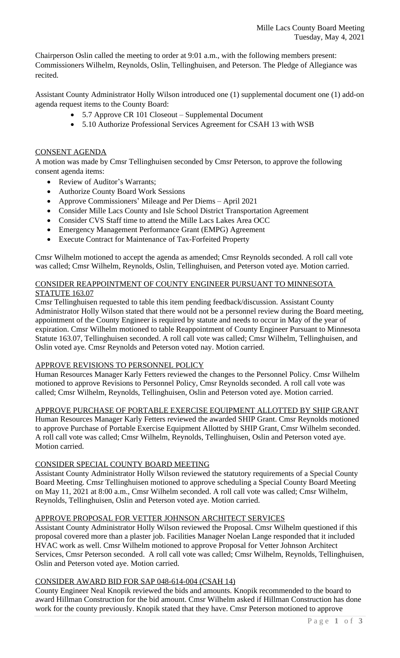Chairperson Oslin called the meeting to order at 9:01 a.m., with the following members present: Commissioners Wilhelm, Reynolds, Oslin, Tellinghuisen, and Peterson. The Pledge of Allegiance was recited.

Assistant County Administrator Holly Wilson introduced one (1) supplemental document one (1) add-on agenda request items to the County Board:

- 5.7 Approve CR 101 Closeout Supplemental Document
- 5.10 Authorize Professional Services Agreement for CSAH 13 with WSB

### CONSENT AGENDA

A motion was made by Cmsr Tellinghuisen seconded by Cmsr Peterson, to approve the following consent agenda items:

- Review of Auditor's Warrants;
- Authorize County Board Work Sessions
- Approve Commissioners' Mileage and Per Diems April 2021
- Consider Mille Lacs County and Isle School District Transportation Agreement
- Consider CVS Staff time to attend the Mille Lacs Lakes Area OCC
- Emergency Management Performance Grant (EMPG) Agreement
- Execute Contract for Maintenance of Tax-Forfeited Property

Cmsr Wilhelm motioned to accept the agenda as amended; Cmsr Reynolds seconded. A roll call vote was called; Cmsr Wilhelm, Reynolds, Oslin, Tellinghuisen, and Peterson voted aye. Motion carried.

### CONSIDER REAPPOINTMENT OF COUNTY ENGINEER PURSUANT TO MINNESOTA STATUTE 163.07

Cmsr Tellinghuisen requested to table this item pending feedback/discussion. Assistant County Administrator Holly Wilson stated that there would not be a personnel review during the Board meeting, appointment of the County Engineer is required by statute and needs to occur in May of the year of expiration. Cmsr Wilhelm motioned to table Reappointment of County Engineer Pursuant to Minnesota Statute 163.07, Tellinghuisen seconded. A roll call vote was called; Cmsr Wilhelm, Tellinghuisen, and Oslin voted aye. Cmsr Reynolds and Peterson voted nay. Motion carried.

### APPROVE REVISIONS TO PERSONNEL POLICY

Human Resources Manager Karly Fetters reviewed the changes to the Personnel Policy. Cmsr Wilhelm motioned to approve Revisions to Personnel Policy, Cmsr Reynolds seconded. A roll call vote was called; Cmsr Wilhelm, Reynolds, Tellinghuisen, Oslin and Peterson voted aye. Motion carried.

APPROVE PURCHASE OF PORTABLE EXERCISE EQUIPMENT ALLOTTED BY SHIP GRANT

Human Resources Manager Karly Fetters reviewed the awarded SHIP Grant. Cmsr Reynolds motioned to approve Purchase of Portable Exercise Equipment Allotted by SHIP Grant, Cmsr Wilhelm seconded. A roll call vote was called; Cmsr Wilhelm, Reynolds, Tellinghuisen, Oslin and Peterson voted aye. Motion carried.

## CONSIDER SPECIAL COUNTY BOARD MEETING

Assistant County Administrator Holly Wilson reviewed the statutory requirements of a Special County Board Meeting. Cmsr Tellinghuisen motioned to approve scheduling a Special County Board Meeting on May 11, 2021 at 8:00 a.m., Cmsr Wilhelm seconded. A roll call vote was called; Cmsr Wilhelm, Reynolds, Tellinghuisen, Oslin and Peterson voted aye. Motion carried.

### APPROVE PROPOSAL FOR VETTER JOHNSON ARCHITECT SERVICES

Assistant County Administrator Holly Wilson reviewed the Proposal. Cmsr Wilhelm questioned if this proposal covered more than a plaster job. Facilities Manager Noelan Lange responded that it included HVAC work as well. Cmsr Wilhelm motioned to approve Proposal for Vetter Johnson Architect Services, Cmsr Peterson seconded. A roll call vote was called; Cmsr Wilhelm, Reynolds, Tellinghuisen, Oslin and Peterson voted aye. Motion carried.

### CONSIDER AWARD BID FOR SAP 048-614-004 (CSAH 14)

County Engineer Neal Knopik reviewed the bids and amounts. Knopik recommended to the board to award Hillman Construction for the bid amount. Cmsr Wilhelm asked if Hillman Construction has done work for the county previously. Knopik stated that they have. Cmsr Peterson motioned to approve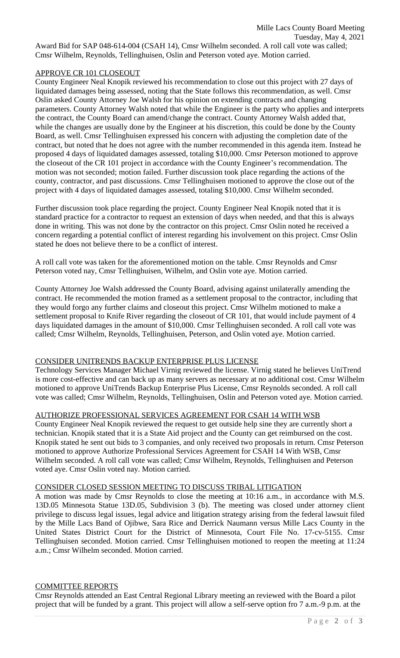Award Bid for SAP 048-614-004 (CSAH 14), Cmsr Wilhelm seconded. A roll call vote was called; Cmsr Wilhelm, Reynolds, Tellinghuisen, Oslin and Peterson voted aye. Motion carried.

# APPROVE CR 101 CLOSEOUT

County Engineer Neal Knopik reviewed his recommendation to close out this project with 27 days of liquidated damages being assessed, noting that the State follows this recommendation, as well. Cmsr Oslin asked County Attorney Joe Walsh for his opinion on extending contracts and changing parameters. County Attorney Walsh noted that while the Engineer is the party who applies and interprets the contract, the County Board can amend/change the contract. County Attorney Walsh added that, while the changes are usually done by the Engineer at his discretion, this could be done by the County Board, as well. Cmsr Tellinghuisen expressed his concern with adjusting the completion date of the contract, but noted that he does not agree with the number recommended in this agenda item. Instead he proposed 4 days of liquidated damages assessed, totaling \$10,000. Cmsr Peterson motioned to approve the closeout of the CR 101 project in accordance with the County Engineer's recommendation. The motion was not seconded; motion failed. Further discussion took place regarding the actions of the county, contractor, and past discussions. Cmsr Tellinghuisen motioned to approve the close out of the project with 4 days of liquidated damages assessed, totaling \$10,000. Cmsr Wilhelm seconded.

Further discussion took place regarding the project. County Engineer Neal Knopik noted that it is standard practice for a contractor to request an extension of days when needed, and that this is always done in writing. This was not done by the contractor on this project. Cmsr Oslin noted he received a concern regarding a potential conflict of interest regarding his involvement on this project. Cmsr Oslin stated he does not believe there to be a conflict of interest.

A roll call vote was taken for the aforementioned motion on the table. Cmsr Reynolds and Cmsr Peterson voted nay, Cmsr Tellinghuisen, Wilhelm, and Oslin vote aye. Motion carried.

County Attorney Joe Walsh addressed the County Board, advising against unilaterally amending the contract. He recommended the motion framed as a settlement proposal to the contractor, including that they would forgo any further claims and closeout this project. Cmsr Wilhelm motioned to make a settlement proposal to Knife River regarding the closeout of CR 101, that would include payment of 4 days liquidated damages in the amount of \$10,000. Cmsr Tellinghuisen seconded. A roll call vote was called; Cmsr Wilhelm, Reynolds, Tellinghuisen, Peterson, and Oslin voted aye. Motion carried.

# CONSIDER UNITRENDS BACKUP ENTERPRISE PLUS LICENSE

Technology Services Manager Michael Virnig reviewed the license. Virnig stated he believes UniTrend is more cost-effective and can back up as many servers as necessary at no additional cost. Cmsr Wilhelm motioned to approve UniTrends Backup Enterprise Plus License, Cmsr Reynolds seconded. A roll call vote was called; Cmsr Wilhelm, Reynolds, Tellinghuisen, Oslin and Peterson voted aye. Motion carried.

### AUTHORIZE PROFESSIONAL SERVICES AGREEMENT FOR CSAH 14 WITH WSB

County Engineer Neal Knopik reviewed the request to get outside help sine they are currently short a technician. Knopik stated that it is a State Aid project and the County can get reimbursed on the cost. Knopik stated he sent out bids to 3 companies, and only received two proposals in return. Cmsr Peterson motioned to approve Authorize Professional Services Agreement for CSAH 14 With WSB, Cmsr Wilhelm seconded. A roll call vote was called; Cmsr Wilhelm, Reynolds, Tellinghuisen and Peterson voted aye. Cmsr Oslin voted nay. Motion carried.

## CONSIDER CLOSED SESSION MEETING TO DISCUSS TRIBAL LITIGATION

A motion was made by Cmsr Reynolds to close the meeting at 10:16 a.m., in accordance with M.S. 13D.05 Minnesota Statue 13D.05, Subdivision 3 (b). The meeting was closed under attorney client privilege to discuss legal issues, legal advice and litigation strategy arising from the federal lawsuit filed by the Mille Lacs Band of Ojibwe, Sara Rice and Derrick Naumann versus Mille Lacs County in the United States District Court for the District of Minnesota, Court File No. 17-cv-5155. Cmsr Tellinghuisen seconded. Motion carried. Cmsr Tellinghuisen motioned to reopen the meeting at 11:24 a.m.; Cmsr Wilhelm seconded. Motion carried.

### COMMITTEE REPORTS

Cmsr Reynolds attended an East Central Regional Library meeting an reviewed with the Board a pilot project that will be funded by a grant. This project will allow a self-serve option fro 7 a.m.-9 p.m. at the